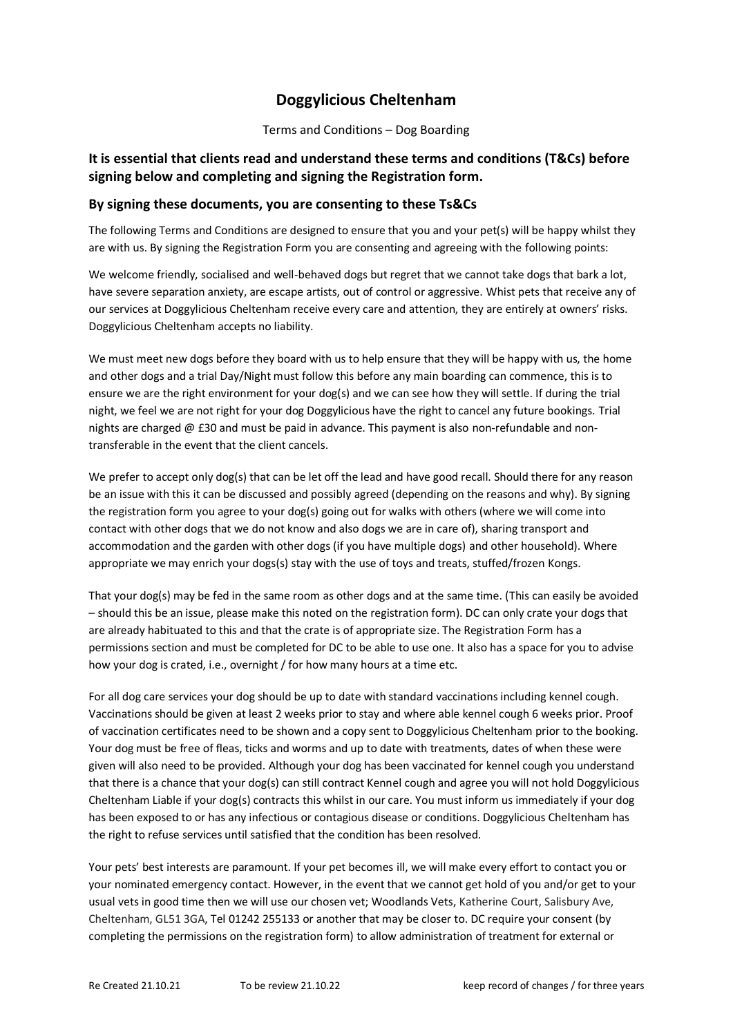## **Doggylicious Cheltenham**

Terms and Conditions – Dog Boarding

## **It is essential that clients read and understand these terms and conditions (T&Cs) before signing below and completing and signing the Registration form.**

## **By signing these documents, you are consenting to these Ts&Cs**

The following Terms and Conditions are designed to ensure that you and your pet(s) will be happy whilst they are with us. By signing the Registration Form you are consenting and agreeing with the following points:

We welcome friendly, socialised and well-behaved dogs but regret that we cannot take dogs that bark a lot, have severe separation anxiety, are escape artists, out of control or aggressive. Whist pets that receive any of our services at Doggylicious Cheltenham receive every care and attention, they are entirely at owners' risks. Doggylicious Cheltenham accepts no liability.

We must meet new dogs before they board with us to help ensure that they will be happy with us, the home and other dogs and a trial Day/Night must follow this before any main boarding can commence, this is to ensure we are the right environment for your dog(s) and we can see how they will settle. If during the trial night, we feel we are not right for your dog Doggylicious have the right to cancel any future bookings. Trial nights are charged @ £30 and must be paid in advance. This payment is also non-refundable and nontransferable in the event that the client cancels.

We prefer to accept only dog(s) that can be let off the lead and have good recall. Should there for any reason be an issue with this it can be discussed and possibly agreed (depending on the reasons and why). By signing the registration form you agree to your dog(s) going out for walks with others (where we will come into contact with other dogs that we do not know and also dogs we are in care of), sharing transport and accommodation and the garden with other dogs (if you have multiple dogs) and other household). Where appropriate we may enrich your dogs(s) stay with the use of toys and treats, stuffed/frozen Kongs.

That your dog(s) may be fed in the same room as other dogs and at the same time. (This can easily be avoided – should this be an issue, please make this noted on the registration form). DC can only crate your dogs that are already habituated to this and that the crate is of appropriate size. The Registration Form has a permissions section and must be completed for DC to be able to use one. It also has a space for you to advise how your dog is crated, i.e., overnight / for how many hours at a time etc.

For all dog care services your dog should be up to date with standard vaccinations including kennel cough. Vaccinations should be given at least 2 weeks prior to stay and where able kennel cough 6 weeks prior. Proof of vaccination certificates need to be shown and a copy sent to Doggylicious Cheltenham prior to the booking. Your dog must be free of fleas, ticks and worms and up to date with treatments, dates of when these were given will also need to be provided. Although your dog has been vaccinated for kennel cough you understand that there is a chance that your dog(s) can still contract Kennel cough and agree you will not hold Doggylicious Cheltenham Liable if your dog(s) contracts this whilst in our care. You must inform us immediately if your dog has been exposed to or has any infectious or contagious disease or conditions. Doggylicious Cheltenham has the right to refuse services until satisfied that the condition has been resolved.

Your pets' best interests are paramount. If your pet becomes ill, we will make every effort to contact you or your nominated emergency contact. However, in the event that we cannot get hold of you and/or get to your usual vets in good time then we will use our chosen vet; Woodlands Vets, Katherine Court, Salisbury Ave, Cheltenham, GL51 3GA, Tel 01242 255133 or another that may be closer to. DC require your consent (by completing the permissions on the registration form) to allow administration of treatment for external or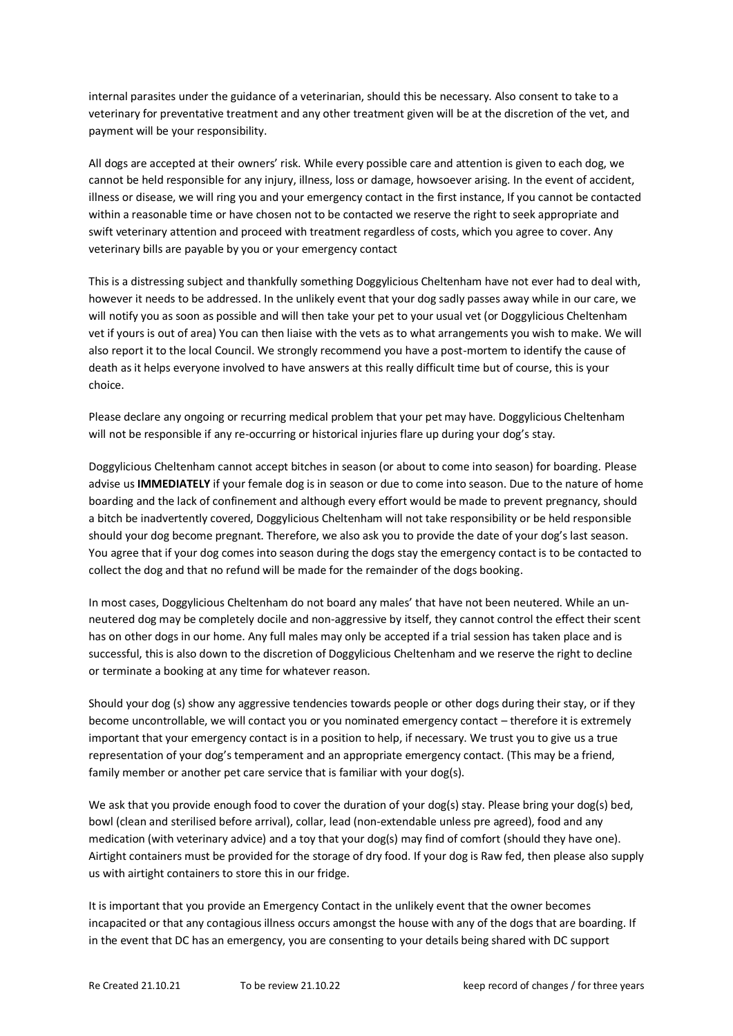internal parasites under the guidance of a veterinarian, should this be necessary. Also consent to take to a veterinary for preventative treatment and any other treatment given will be at the discretion of the vet, and payment will be your responsibility.

All dogs are accepted at their owners' risk. While every possible care and attention is given to each dog, we cannot be held responsible for any injury, illness, loss or damage, howsoever arising. In the event of accident, illness or disease, we will ring you and your emergency contact in the first instance, If you cannot be contacted within a reasonable time or have chosen not to be contacted we reserve the right to seek appropriate and swift veterinary attention and proceed with treatment regardless of costs, which you agree to cover. Any veterinary bills are payable by you or your emergency contact

This is a distressing subject and thankfully something Doggylicious Cheltenham have not ever had to deal with, however it needs to be addressed. In the unlikely event that your dog sadly passes away while in our care, we will notify you as soon as possible and will then take your pet to your usual vet (or Doggylicious Cheltenham vet if yours is out of area) You can then liaise with the vets as to what arrangements you wish to make. We will also report it to the local Council. We strongly recommend you have a post-mortem to identify the cause of death as it helps everyone involved to have answers at this really difficult time but of course, this is your choice.

Please declare any ongoing or recurring medical problem that your pet may have. Doggylicious Cheltenham will not be responsible if any re-occurring or historical injuries flare up during your dog's stay.

Doggylicious Cheltenham cannot accept bitches in season (or about to come into season) for boarding. Please advise us **IMMEDIATELY** if your female dog is in season or due to come into season. Due to the nature of home boarding and the lack of confinement and although every effort would be made to prevent pregnancy, should a bitch be inadvertently covered, Doggylicious Cheltenham will not take responsibility or be held responsible should your dog become pregnant. Therefore, we also ask you to provide the date of your dog's last season. You agree that if your dog comes into season during the dogs stay the emergency contact is to be contacted to collect the dog and that no refund will be made for the remainder of the dogs booking.

In most cases, Doggylicious Cheltenham do not board any males' that have not been neutered. While an unneutered dog may be completely docile and non-aggressive by itself, they cannot control the effect their scent has on other dogs in our home. Any full males may only be accepted if a trial session has taken place and is successful, this is also down to the discretion of Doggylicious Cheltenham and we reserve the right to decline or terminate a booking at any time for whatever reason.

Should your dog (s) show any aggressive tendencies towards people or other dogs during their stay, or if they become uncontrollable, we will contact you or you nominated emergency contact – therefore it is extremely important that your emergency contact is in a position to help, if necessary. We trust you to give us a true representation of your dog's temperament and an appropriate emergency contact. (This may be a friend, family member or another pet care service that is familiar with your dog(s).

We ask that you provide enough food to cover the duration of your dog(s) stay. Please bring your dog(s) bed, bowl (clean and sterilised before arrival), collar, lead (non-extendable unless pre agreed), food and any medication (with veterinary advice) and a toy that your dog(s) may find of comfort (should they have one). Airtight containers must be provided for the storage of dry food. If your dog is Raw fed, then please also supply us with airtight containers to store this in our fridge.

It is important that you provide an Emergency Contact in the unlikely event that the owner becomes incapacited or that any contagious illness occurs amongst the house with any of the dogs that are boarding. If in the event that DC has an emergency, you are consenting to your details being shared with DC support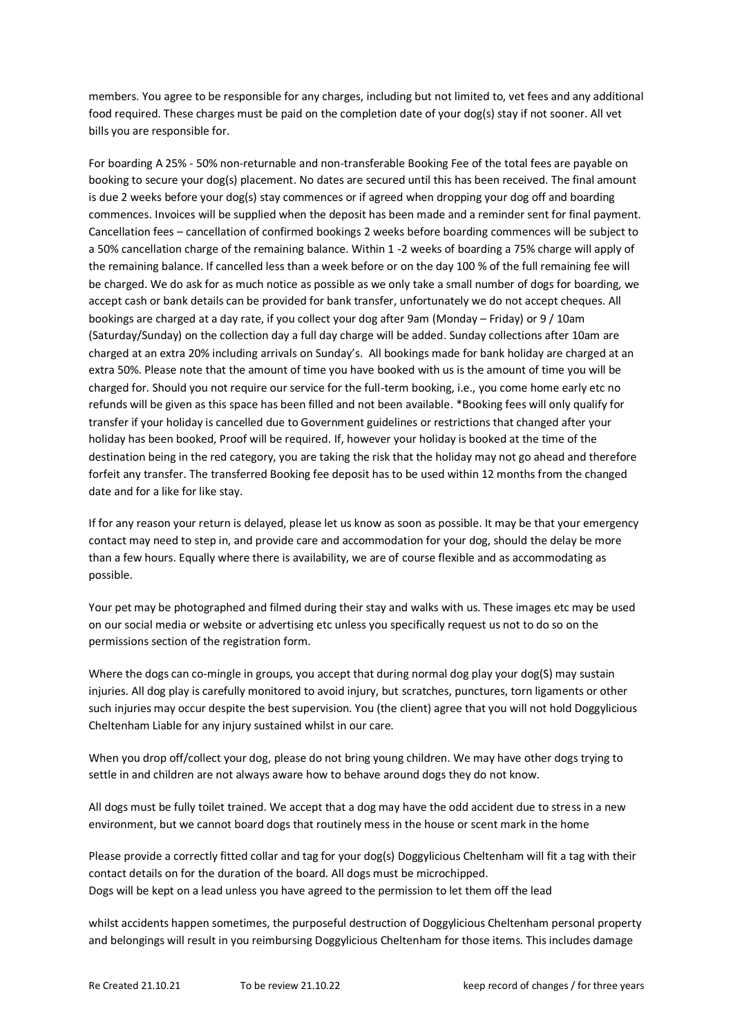members. You agree to be responsible for any charges, including but not limited to, vet fees and any additional food required. These charges must be paid on the completion date of your dog(s) stay if not sooner. All vet bills you are responsible for.

For boarding A 25% - 50% non-returnable and non-transferable Booking Fee of the total fees are payable on booking to secure your dog(s) placement. No dates are secured until this has been received. The final amount is due 2 weeks before your dog(s) stay commences or if agreed when dropping your dog off and boarding commences. Invoices will be supplied when the deposit has been made and a reminder sent for final payment. Cancellation fees – cancellation of confirmed bookings 2 weeks before boarding commences will be subject to a 50% cancellation charge of the remaining balance. Within 1 -2 weeks of boarding a 75% charge will apply of the remaining balance. If cancelled less than a week before or on the day 100 % of the full remaining fee will be charged. We do ask for as much notice as possible as we only take a small number of dogs for boarding, we accept cash or bank details can be provided for bank transfer, unfortunately we do not accept cheques. All bookings are charged at a day rate, if you collect your dog after 9am (Monday – Friday) or 9 / 10am (Saturday/Sunday) on the collection day a full day charge will be added. Sunday collections after 10am are charged at an extra 20% including arrivals on Sunday's. All bookings made for bank holiday are charged at an extra 50%. Please note that the amount of time you have booked with us is the amount of time you will be charged for. Should you not require our service for the full-term booking, i.e., you come home early etc no refunds will be given as this space has been filled and not been available. \*Booking fees will only qualify for transfer if your holiday is cancelled due to Government guidelines or restrictions that changed after your holiday has been booked, Proof will be required. If, however your holiday is booked at the time of the destination being in the red category, you are taking the risk that the holiday may not go ahead and therefore forfeit any transfer. The transferred Booking fee deposit has to be used within 12 months from the changed date and for a like for like stay.

If for any reason your return is delayed, please let us know as soon as possible. It may be that your emergency contact may need to step in, and provide care and accommodation for your dog, should the delay be more than a few hours. Equally where there is availability, we are of course flexible and as accommodating as possible.

Your pet may be photographed and filmed during their stay and walks with us. These images etc may be used on our social media or website or advertising etc unless you specifically request us not to do so on the permissions section of the registration form.

Where the dogs can co-mingle in groups, you accept that during normal dog play your dog(S) may sustain injuries. All dog play is carefully monitored to avoid injury, but scratches, punctures, torn ligaments or other such injuries may occur despite the best supervision. You (the client) agree that you will not hold Doggylicious Cheltenham Liable for any injury sustained whilst in our care.

When you drop off/collect your dog, please do not bring young children. We may have other dogs trying to settle in and children are not always aware how to behave around dogs they do not know.

All dogs must be fully toilet trained. We accept that a dog may have the odd accident due to stress in a new environment, but we cannot board dogs that routinely mess in the house or scent mark in the home

Please provide a correctly fitted collar and tag for your dog(s) Doggylicious Cheltenham will fit a tag with their contact details on for the duration of the board. All dogs must be microchipped. Dogs will be kept on a lead unless you have agreed to the permission to let them off the lead

whilst accidents happen sometimes, the purposeful destruction of Doggylicious Cheltenham personal property and belongings will result in you reimbursing Doggylicious Cheltenham for those items. This includes damage